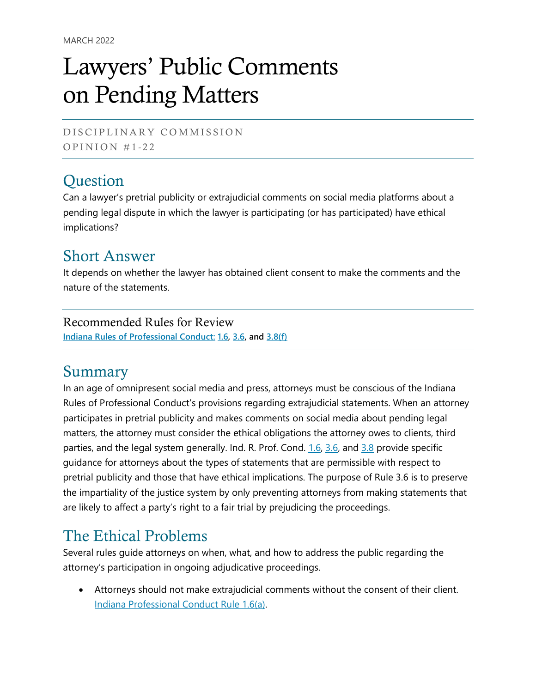# Lawyers' Public Comments on Pending Matters

DISCIPLINARY COMMISSION OPINION  $#1-22$ 

# **Question**

Can a lawyer's pretrial publicity or extrajudicial comments on social media platforms about a pending legal dispute in which the lawyer is participating (or has participated) have ethical implications?

#### Short Answer

It depends on whether the lawyer has obtained client consent to make the comments and the nature of the statements.

#### Recommended Rules for Review

**[Indiana Rules of Professional Conduct:](http://www.in.gov/judiciary/rules/prof_conduct/index.html) [1.6,](https://perma.cc/A3MT-BNJ9) [3.6,](https://perma.cc/9QKX-JYYG) and [3.8\(f\)](https://perma.cc/SJ5Z-93R4)**

## Summary

In an age of omnipresent social media and press, attorneys must be conscious of the Indiana Rules of Professional Conduct's provisions regarding extrajudicial statements. When an attorney participates in pretrial publicity and makes comments on social media about pending legal matters, the attorney must consider the ethical obligations the attorney owes to clients, third parties, and the legal system generally. Ind. R. Prof. Cond. [1.6,](https://perma.cc/A3MT-BNJ9) [3.6,](https://perma.cc/9QKX-JYYG) and [3.8](https://perma.cc/SJ5Z-93R4) provide specific guidance for attorneys about the types of statements that are permissible with respect to pretrial publicity and those that have ethical implications. The purpose of Rule 3.6 is to preserve the impartiality of the justice system by only preventing attorneys from making statements that are likely to affect a party's right to a fair trial by prejudicing the proceedings.

## The Ethical Problems

Several rules guide attorneys on when, what, and how to address the public regarding the attorney's participation in ongoing adjudicative proceedings.

• Attorneys should not make extrajudicial comments without the consent of their client. [Indiana Professional Conduct Rule 1.6\(a\).](https://perma.cc/A3MT-BNJ9)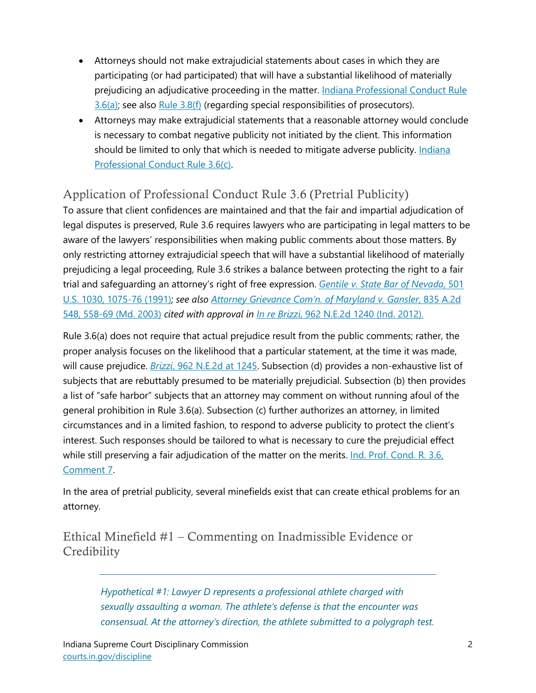- Attorneys should not make extrajudicial statements about cases in which they are participating (or had participated) that will have a substantial likelihood of materially prejudicing an adjudicative proceeding in the matter. Indiana Professional Conduct Rule  $3.6(a)$ ; see also [Rule 3.8\(f\)](https://perma.cc/SJ5Z-93R4) (regarding special responsibilities of prosecutors).
- Attorneys may make extrajudicial statements that a reasonable attorney would conclude is necessary to combat negative publicity not initiated by the client. This information should be limited to only that which is needed to mitigate adverse publicity. [Indiana](https://perma.cc/9QKX-JYYG)  [Professional Conduct Rule 3.6\(c\).](https://perma.cc/9QKX-JYYG)

#### Application of Professional Conduct Rule 3.6 (Pretrial Publicity)

To assure that client confidences are maintained and that the fair and impartial adjudication of legal disputes is preserved, Rule 3.6 requires lawyers who are participating in legal matters to be aware of the lawyers' responsibilities when making public comments about those matters. By only restricting attorney extrajudicial speech that will have a substantial likelihood of materially prejudicing a legal proceeding, Rule 3.6 strikes a balance between protecting the right to a fair trial and safeguarding an attorney's right of free expression. *[Gentile v. State Bar of Nevada](https://perma.cc/N4K9-ECGY)*, 501 [U.S. 1030, 1075-76 \(1991\);](https://perma.cc/N4K9-ECGY) *see also [Attorney Grievance Com'n. of Maryland v. Gansler](https://perma.cc/B6VZ-67DL)*, 835 A.2d [548, 558-69 \(Md. 2003\)](https://perma.cc/B6VZ-67DL) *cited with approval in In re Brizzi*[, 962 N.E.2d 1240 \(Ind. 2012\).](https://perma.cc/2RSN-JSUV)

Rule 3.6(a) does not require that actual prejudice result from the public comments; rather, the proper analysis focuses on the likelihood that a particular statement, at the time it was made, will cause prejudice. *Brizzi*[, 962 N.E.2d at 1245.](https://perma.cc/2RSN-JSUV) Subsection (d) provides a non-exhaustive list of subjects that are rebuttably presumed to be materially prejudicial. Subsection (b) then provides a list of "safe harbor" subjects that an attorney may comment on without running afoul of the general prohibition in Rule 3.6(a). Subsection (c) further authorizes an attorney, in limited circumstances and in a limited fashion, to respond to adverse publicity to protect the client's interest. Such responses should be tailored to what is necessary to cure the prejudicial effect while still preserving a fair adjudication of the matter on the merits. *Ind. Prof. Cond. R. 3.6*, [Comment 7.](https://perma.cc/9QKX-JYYG)

In the area of pretrial publicity, several minefields exist that can create ethical problems for an attorney.

Ethical Minefield #1 – Commenting on Inadmissible Evidence or **Credibility** 

> *Hypothetical #1: Lawyer D represents a professional athlete charged with sexually assaulting a woman. The athlete's defense is that the encounter was consensual. At the attorney's direction, the athlete submitted to a polygraph test.*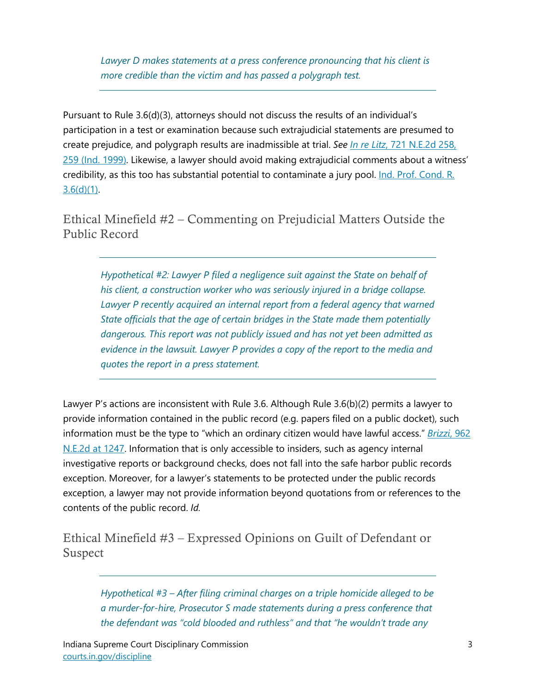*Lawyer D makes statements at a press conference pronouncing that his client is more credible than the victim and has passed a polygraph test.*

Pursuant to Rule 3.6(d)(3), attorneys should not discuss the results of an individual's participation in a test or examination because such extrajudicial statements are presumed to create prejudice, and polygraph results are inadmissible at trial. *See In re Litz*[, 721 N.E.2d 258,](https://perma.cc/C54D-7HSY)  [259 \(Ind. 1999\).](https://perma.cc/C54D-7HSY) Likewise, a lawyer should avoid making extrajudicial comments about a witness' credibility, as this too has substantial potential to contaminate a jury pool. [Ind. Prof. Cond. R.](https://perma.cc/9QKX-JYYG)   $3.6(d)(1)$ .

Ethical Minefield #2 – Commenting on Prejudicial Matters Outside the Public Record

*Hypothetical #2: Lawyer P filed a negligence suit against the State on behalf of his client, a construction worker who was seriously injured in a bridge collapse. Lawyer P recently acquired an internal report from a federal agency that warned State officials that the age of certain bridges in the State made them potentially dangerous. This report was not publicly issued and has not yet been admitted as evidence in the lawsuit. Lawyer P provides a copy of the report to the media and quotes the report in a press statement.*

Lawyer P's actions are inconsistent with Rule 3.6. Although Rule 3.6(b)(2) permits a lawyer to provide information contained in the public record (e.g. papers filed on a public docket), such information must be the type to "which an ordinary citizen would have lawful access." *Brizzi*[, 962](https://perma.cc/2RSN-JSUV)  [N.E.2d at 1247.](https://perma.cc/2RSN-JSUV) Information that is only accessible to insiders, such as agency internal investigative reports or background checks, does not fall into the safe harbor public records exception. Moreover, for a lawyer's statements to be protected under the public records exception, a lawyer may not provide information beyond quotations from or references to the contents of the public record. *Id.*

Ethical Minefield #3 – Expressed Opinions on Guilt of Defendant or Suspect

> *Hypothetical #3 – After filing criminal charges on a triple homicide alleged to be a murder-for-hire, Prosecutor S made statements during a press conference that the defendant was "cold blooded and ruthless" and that "he wouldn't trade any*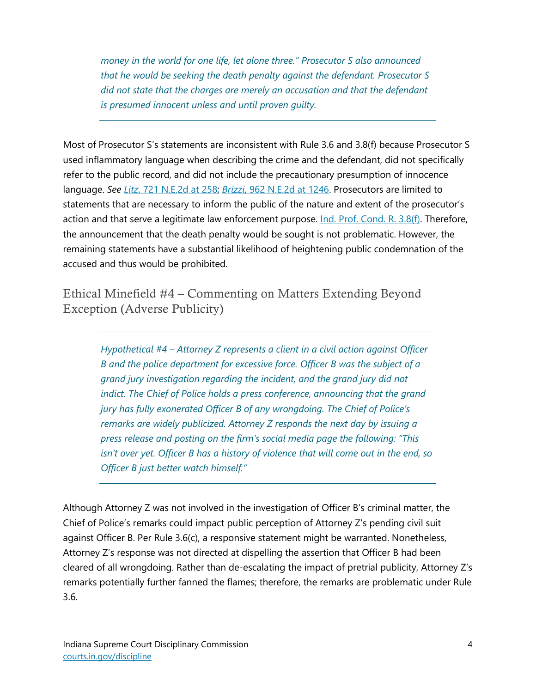*money in the world for one life, let alone three." Prosecutor S also announced that he would be seeking the death penalty against the defendant. Prosecutor S did not state that the charges are merely an accusation and that the defendant is presumed innocent unless and until proven guilty.* 

Most of Prosecutor S's statements are inconsistent with Rule 3.6 and 3.8(f) because Prosecutor S used inflammatory language when describing the crime and the defendant, did not specifically refer to the public record, and did not include the precautionary presumption of innocence language. *See Litz*[, 721 N.E.2d at 258;](https://perma.cc/C54D-7HSY) *Brizzi*[, 962 N.E.2d at 1246.](https://perma.cc/2RSN-JSUV) Prosecutors are limited to statements that are necessary to inform the public of the nature and extent of the prosecutor's action and that serve a legitimate law enforcement purpose. [Ind. Prof. Cond. R. 3.8\(f\).](https://perma.cc/SJ5Z-93R4) Therefore, the announcement that the death penalty would be sought is not problematic. However, the remaining statements have a substantial likelihood of heightening public condemnation of the accused and thus would be prohibited.

Ethical Minefield #4 – Commenting on Matters Extending Beyond Exception (Adverse Publicity)

> *Hypothetical #4 – Attorney Z represents a client in a civil action against Officer B and the police department for excessive force. Officer B was the subject of a grand jury investigation regarding the incident, and the grand jury did not indict. The Chief of Police holds a press conference, announcing that the grand jury has fully exonerated Officer B of any wrongdoing. The Chief of Police's remarks are widely publicized. Attorney Z responds the next day by issuing a press release and posting on the firm's social media page the following: "This isn't over yet. Officer B has a history of violence that will come out in the end, so Officer B just better watch himself."*

Although Attorney Z was not involved in the investigation of Officer B's criminal matter, the Chief of Police's remarks could impact public perception of Attorney Z's pending civil suit against Officer B. Per Rule 3.6(c), a responsive statement might be warranted. Nonetheless, Attorney Z's response was not directed at dispelling the assertion that Officer B had been cleared of all wrongdoing. Rather than de-escalating the impact of pretrial publicity, Attorney Z's remarks potentially further fanned the flames; therefore, the remarks are problematic under Rule 3.6.